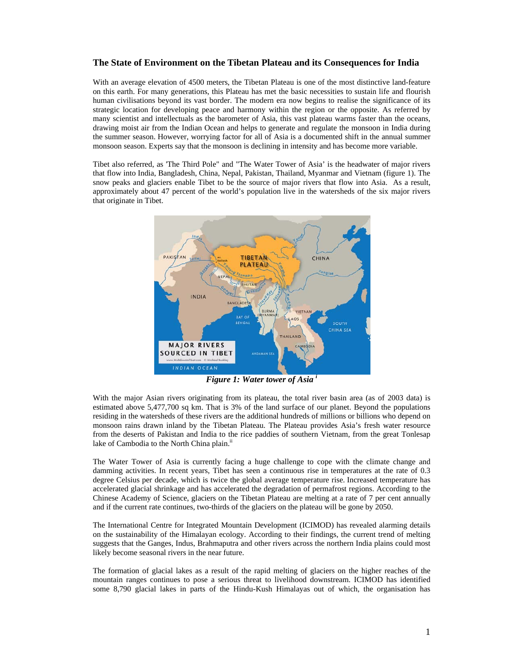## **The State of Environment on the Tibetan Plateau and its Consequences for India**

With an average elevation of 4500 meters, the Tibetan Plateau is one of the most distinctive land-feature on this earth. For many generations, this Plateau has met the basic necessities to sustain life and flourish human civilisations beyond its vast border. The modern era now begins to realise the significance of its strategic location for developing peace and harmony within the region or the opposite. As referred by many scientist and intellectuals as the barometer of Asia, this vast plateau warms faster than the oceans, drawing moist air from the Indian Ocean and helps to generate and regulate the monsoon in India during the summer season. However, worrying factor for all of Asia is a documented shift in the annual summer monsoon season. Experts say that the monsoon is declining in intensity and has become more variable.

Tibet also referred, as 'The Third Pole" and "The Water Tower of Asia' is the headwater of major rivers that flow into India, Bangladesh, China, Nepal, Pakistan, Thailand, Myanmar and Vietnam (figure 1). The snow peaks and glaciers enable Tibet to be the source of major rivers that flow into Asia. As a result, approximately about 47 percent of the world's population live in the watersheds of the six major rivers that originate in Tibet.



*Figure 1: Water tower of Asia <sup>i</sup>*

With the major Asian rivers originating from its plateau, the total river basin area (as of 2003 data) is estimated above 5,477,700 sq km. That is 3% of the land surface of our planet. Beyond the populations residing in the watersheds of these rivers are the additional hundreds of millions or billions who depend on monsoon rains drawn inland by the Tibetan Plateau. The Plateau provides Asia's fresh water resource from the deserts of Pakistan and India to the rice paddies of southern Vietnam, from the great Tonlesap lake of Cambodia to the North China plain.<sup>ii</sup>

The Water Tower of Asia is currently facing a huge challenge to cope with the climate change and damming activities. In recent years, Tibet has seen a continuous rise in temperatures at the rate of 0.3 degree Celsius per decade, which is twice the global average temperature rise. Increased temperature has accelerated glacial shrinkage and has accelerated the degradation of permafrost regions. According to the Chinese Academy of Science, glaciers on the Tibetan Plateau are melting at a rate of 7 per cent annually and if the current rate continues, two-thirds of the glaciers on the plateau will be gone by 2050.

The International Centre for Integrated Mountain Development (ICIMOD) has revealed alarming details on the sustainability of the Himalayan ecology. According to their findings, the current trend of melting suggests that the Ganges, Indus, Brahmaputra and other rivers across the northern India plains could most likely become seasonal rivers in the near future.

The formation of glacial lakes as a result of the rapid melting of glaciers on the higher reaches of the mountain ranges continues to pose a serious threat to livelihood downstream. ICIMOD has identified some 8,790 glacial lakes in parts of the Hindu-Kush Himalayas out of which, the organisation has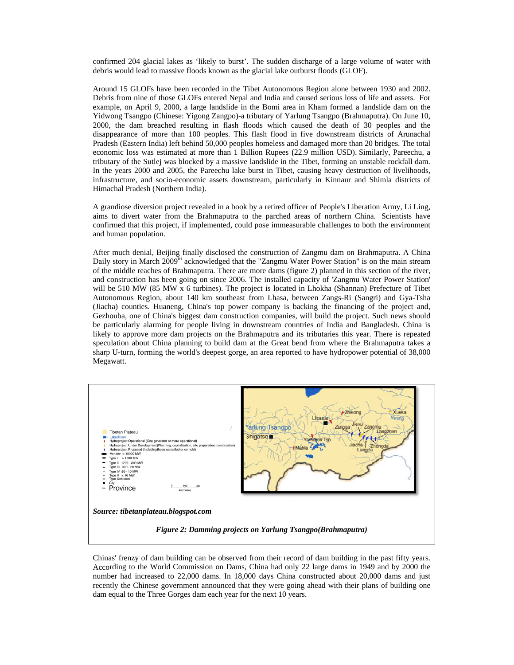confirmed 204 glacial lakes as 'likely to burst'. The sudden discharge of a large volume of water with debris would lead to massive floods known as the glacial lake outburst floods (GLOF).

Around 15 GLOFs have been recorded in the Tibet Autonomous Region alone between 1930 and 2002. Debris from nine of those GLOFs entered Nepal and India and caused serious loss of life and assets. For example, on April 9, 2000, a large landslide in the Bomi area in Kham formed a landslide dam on the Yidwong Tsangpo (Chinese: Yigong Zangpo)-a tributary of Yarlung Tsangpo (Brahmaputra). On June 10, 2000, the dam breached resulting in flash floods which caused the death of 30 peoples and the disappearance of more than 100 peoples. This flash flood in five downstream districts of Arunachal Pradesh (Eastern India) left behind 50,000 peoples homeless and damaged more than 20 bridges. The total economic loss was estimated at more than 1 Billion Rupees (22.9 million USD). Similarly, Pareechu, a tributary of the Sutlej was blocked by a massive landslide in the Tibet, forming an unstable rockfall dam. In the years 2000 and 2005, the Pareechu lake burst in Tibet, causing heavy destruction of livelihoods, infrastructure, and socio-economic assets downstream, particularly in Kinnaur and Shimla districts of Himachal Pradesh (Northern India).

A grandiose diversion project revealed in a book by a retired officer of People's Liberation Army, Li Ling, aims to divert water from the Brahmaputra to the parched areas of northern China. Scientists have confirmed that this project, if implemented, could pose immeasurable challenges to both the environment and human population.

After much denial, Beijing finally disclosed the construction of Zangmu dam on Brahmaputra. A China Daily story in March 2009<sup>th</sup> acknowledged that the "Zangmu Water Power Station" is on the main stream of the middle reaches of Brahmaputra. There are more dams (figure 2) planned in this section of the river, and construction has been going on since 2006. The installed capacity of 'Zangmu Water Power Station' will be 510 MW (85 MW x 6 turbines). The project is located in Lhokha (Shannan) Prefecture of Tibet Autonomous Region, about 140 km southeast from Lhasa, between Zangs-Ri (Sangri) and Gya-Tsha (Jiacha) counties. Huaneng, China's top power company is backing the financing of the project and, Gezhouba, one of China's biggest dam construction companies, will build the project. Such news should be particularly alarming for people living in downstream countries of India and Bangladesh. China is likely to approve more dam projects on the Brahmaputra and its tributaries this year. There is repeated speculation about China planning to build dam at the Great bend from where the Brahmaputra takes a sharp U-turn, forming the world's deepest gorge, an area reported to have hydropower potential of 38,000 Megawatt.



Chinas' frenzy of dam building can be observed from their record of dam building in the past fifty years. According to the World Commission on Dams, China had only 22 large dams in 1949 and by 2000 the number had increased to 22,000 dams. In 18,000 days China constructed about 20,000 dams and just recently the Chinese government announced that they were going ahead with their plans of building one dam equal to the Three Gorges dam each year for the next 10 years.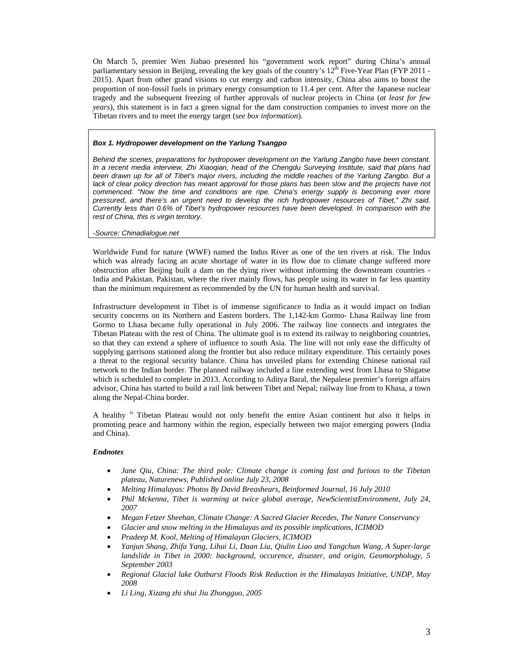On March 5, premier Wen Jiabao presented his "government work report" during China's annual parliamentary session in Beijing, revealing the key goals of the country's  $12^{th}$  Five-Year Plan (FYP 2011 -2015). Apart from other grand visions to cut energy and carbon intensity, China also aims to boost the proportion of non-fossil fuels in primary energy consumption to 11.4 per cent. After the Japanese nuclear tragedy and the subsequent freezing of further approvals of nuclear projects in China (*at least for few years*), this statement is in fact a green signal for the dam construction companies to invest more on the Tibetan rivers and to meet the energy target (*see box information*).

## *Box 1. Hydropower development on the Yarlung Tsangpo*

*Behind the scenes, preparations for hydropower development on the Yarlung Zangbo have been constant. In a recent media interview, Zhi Xiaoqian, head of the Chengdu Surveying Institute, said that plans had been drawn up for all of Tibet's major rivers, including the middle reaches of the Yarlung Zangbo. But a lack of clear policy direction has meant approval for those plans has been slow and the projects have not commenced. "Now the time and conditions are ripe. China's energy supply is becoming ever more pressured, and there's an urgent need to develop the rich hydropower resources of Tibet," Zhi said. Currently less than 0.6% of Tibet's hydropower resources have been developed. In comparison with the rest of China, this is virgin territory.* 

## *-Source: Chinadialogue.net*

Worldwide Fund for nature (WWF) named the Indus River as one of the ten rivers at risk. The Indus which was already facing an acute shortage of water in its flow due to climate change suffered more obstruction after Beijing built a dam on the dying river without informing the downstream countries - India and Pakistan. Pakistan, where the river mainly flows, has people using its water in far less quantity than the minimum requirement as recommended by the UN for human health and survival.

Infrastructure development in Tibet is of immense significance to India as it would impact on Indian security concerns on its Northern and Eastern borders. The 1,142-km Gormo- Lhasa Railway line from Gormo to Lhasa became fully operational in July 2006. The railway line connects and integrates the Tibetan Plateau with the rest of China. The ultimate goal is to extend its railway to neighboring countries, so that they can extend a sphere of influence to south Asia. The line will not only ease the difficulty of supplying garrisons stationed along the frontier but also reduce military expenditure. This certainly poses a threat to the regional security balance. China has unveiled plans for extending Chinese national rail network to the Indian border. The planned railway included a line extending west from Lhasa to Shigatse which is scheduled to complete in 2013. According to Aditya Baral, the Nepalese premier's foreign affairs advisor, China has started to build a rail link between Tibet and Nepal; railway line from to Khasa, a town along the Nepal-China border.

A healthy iv Tibetan Plateau would not only benefit the entire Asian continent but also it helps in promoting peace and harmony within the region, especially between two major emerging powers (India and China).

## *Endnotes*

- *Jane Qiu, China: The third pole: Climate change is coming fast and furious to the Tibetan plateau, Naturenews, Published online July 23, 2008*
- *Melting Himalayas: Photos By David Breashears, Beinformed Journal, 16 July 2010*
- *Phil Mckenna, Tibet is warming at twice global average, NewScientistEnvironment, July 24, 2007*
- *Megan Fetzer Sheehan, Climate Change: A Sacred Glacier Recedes, The Nature Conservancy*
- *Glacier and snow melting in the Himalayas and its possible implications, ICIMOD*
- *Pradeep M. Kool, Melting of Himalayan Glaciers, ICIMOD*
- *Yanjun Shang, Zhifa Yang, Lihui Li, Daan Liu, Qiulin Liao and Yangchun Wang, A Super-large landslide in Tibet in 2000: background, occurence, disaster, and origin, Geomorphology, 5 September 2003*
- *Regional Glacial lake Outburst Floods Risk Reduction in the Himalayas Initiative, UNDP, May 2008*
- *Li Ling, Xizang zhi shui Jiu Zhongguo, 2005*